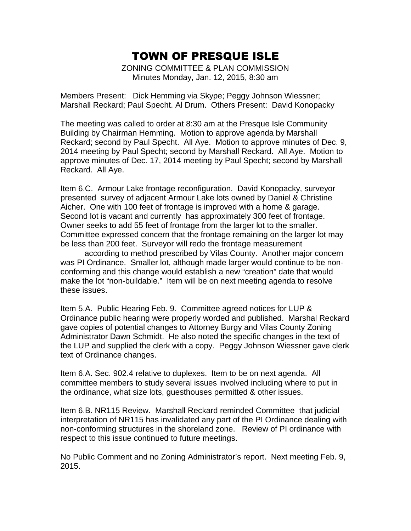ZONING COMMITTEE & PLAN COMMISSION Minutes Monday, Jan. 12, 2015, 8:30 am

Members Present: Dick Hemming via Skype; Peggy Johnson Wiessner; Marshall Reckard; Paul Specht. Al Drum. Others Present: David Konopacky

The meeting was called to order at 8:30 am at the Presque Isle Community Building by Chairman Hemming. Motion to approve agenda by Marshall Reckard; second by Paul Specht. All Aye. Motion to approve minutes of Dec. 9, 2014 meeting by Paul Specht; second by Marshall Reckard. All Aye. Motion to approve minutes of Dec. 17, 2014 meeting by Paul Specht; second by Marshall Reckard. All Aye.

Item 6.C. Armour Lake frontage reconfiguration. David Konopacky, surveyor presented survey of adjacent Armour Lake lots owned by Daniel & Christine Aicher. One with 100 feet of frontage is improved with a home & garage. Second lot is vacant and currently has approximately 300 feet of frontage. Owner seeks to add 55 feet of frontage from the larger lot to the smaller. Committee expressed concern that the frontage remaining on the larger lot may be less than 200 feet. Surveyor will redo the frontage measurement

according to method prescribed by Vilas County. Another major concern was PI Ordinance. Smaller lot, although made larger would continue to be nonconforming and this change would establish a new "creation" date that would make the lot "non-buildable." Item will be on next meeting agenda to resolve these issues.

Item 5.A. Public Hearing Feb. 9. Committee agreed notices for LUP & Ordinance public hearing were properly worded and published. Marshal Reckard gave copies of potential changes to Attorney Burgy and Vilas County Zoning Administrator Dawn Schmidt. He also noted the specific changes in the text of the LUP and supplied the clerk with a copy. Peggy Johnson Wiessner gave clerk text of Ordinance changes.

Item 6.A. Sec. 902.4 relative to duplexes. Item to be on next agenda. All committee members to study several issues involved including where to put in the ordinance, what size lots, guesthouses permitted & other issues.

Item 6.B. NR115 Review. Marshall Reckard reminded Committee that judicial interpretation of NR115 has invalidated any part of the PI Ordinance dealing with non-conforming structures in the shoreland zone. Review of PI ordinance with respect to this issue continued to future meetings.

No Public Comment and no Zoning Administrator's report. Next meeting Feb. 9, 2015.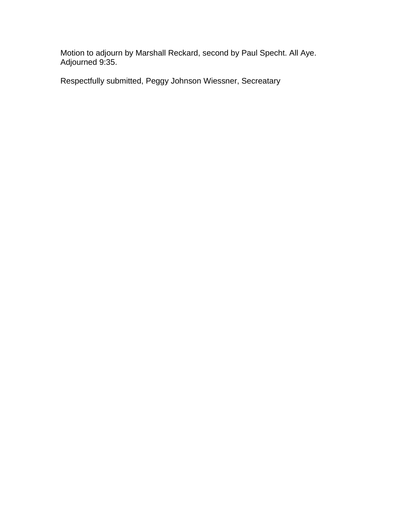Motion to adjourn by Marshall Reckard, second by Paul Specht. All Aye. Adjourned 9:35.

Respectfully submitted, Peggy Johnson Wiessner, Secreatary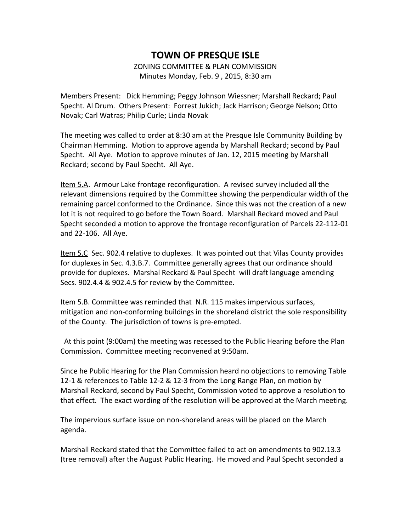# **TOWN OF PRESQUE ISLE** ZONING COMMITTEE & PLAN COMMISSION

Minutes Monday, Feb. 9 , 2015, 8:30 am

Members Present: Dick Hemming; Peggy Johnson Wiessner; Marshall Reckard; Paul Specht. Al Drum. Others Present: Forrest Jukich; Jack Harrison; George Nelson; Otto Novak; Carl Watras; Philip Curle; Linda Novak

The meeting was called to order at 8:30 am at the Presque Isle Community Building by Chairman Hemming. Motion to approve agenda by Marshall Reckard; second by Paul Specht. All Aye. Motion to approve minutes of Jan. 12, 2015 meeting by Marshall Reckard; second by Paul Specht. All Aye.

Item 5.A. Armour Lake frontage reconfiguration. A revised survey included all the relevant dimensions required by the Committee showing the perpendicular width of the remaining parcel conformed to the Ordinance. Since this was not the creation of a new lot it is not required to go before the Town Board. Marshall Reckard moved and Paul Specht seconded a motion to approve the frontage reconfiguration of Parcels 22-112-01 and 22-106. All Aye.

Item 5.C Sec. 902.4 relative to duplexes. It was pointed out that Vilas County provides for duplexes in Sec. 4.3.B.7. Committee generally agrees that our ordinance should provide for duplexes. Marshal Reckard & Paul Specht will draft language amending Secs. 902.4.4 & 902.4.5 for review by the Committee.

Item 5.B. Committee was reminded that N.R. 115 makes impervious surfaces, mitigation and non-conforming buildings in the shoreland district the sole responsibility of the County. The jurisdiction of towns is pre-empted.

 At this point (9:00am) the meeting was recessed to the Public Hearing before the Plan Commission. Committee meeting reconvened at 9:50am.

Since he Public Hearing for the Plan Commission heard no objections to removing Table 12-1 & references to Table 12-2 & 12-3 from the Long Range Plan, on motion by Marshall Reckard, second by Paul Specht, Commission voted to approve a resolution to that effect. The exact wording of the resolution will be approved at the March meeting.

The impervious surface issue on non-shoreland areas will be placed on the March agenda.

Marshall Reckard stated that the Committee failed to act on amendments to 902.13.3 (tree removal) after the August Public Hearing. He moved and Paul Specht seconded a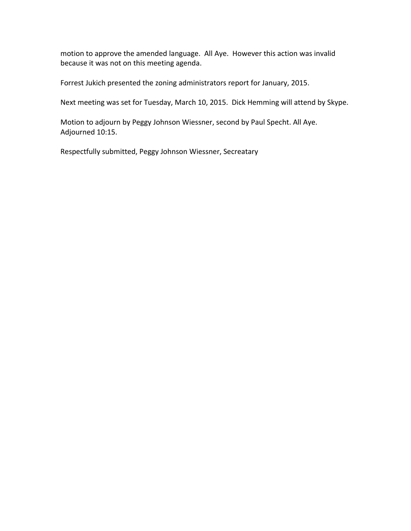motion to approve the amended language. All Aye. However this action was invalid because it was not on this meeting agenda.

Forrest Jukich presented the zoning administrators report for January, 2015.

Next meeting was set for Tuesday, March 10, 2015. Dick Hemming will attend by Skype.

Motion to adjourn by Peggy Johnson Wiessner, second by Paul Specht. All Aye. Adjourned 10:15.

Respectfully submitted, Peggy Johnson Wiessner, Secreatary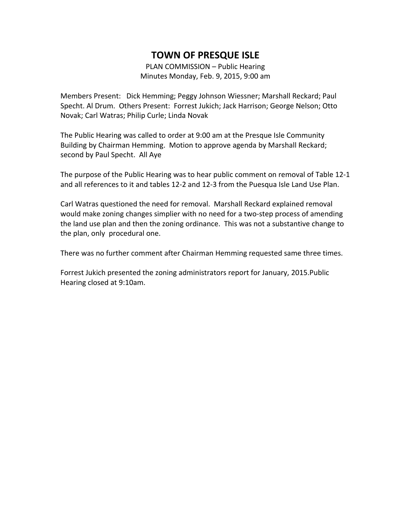PLAN COMMISSION – Public Hearing Minutes Monday, Feb. 9, 2015, 9:00 am

Members Present: Dick Hemming; Peggy Johnson Wiessner; Marshall Reckard; Paul Specht. Al Drum. Others Present: Forrest Jukich; Jack Harrison; George Nelson; Otto Novak; Carl Watras; Philip Curle; Linda Novak

The Public Hearing was called to order at 9:00 am at the Presque Isle Community Building by Chairman Hemming. Motion to approve agenda by Marshall Reckard; second by Paul Specht. All Aye

The purpose of the Public Hearing was to hear public comment on removal of Table 12-1 and all references to it and tables 12-2 and 12-3 from the Puesqua Isle Land Use Plan.

Carl Watras questioned the need for removal. Marshall Reckard explained removal would make zoning changes simplier with no need for a two-step process of amending the land use plan and then the zoning ordinance. This was not a substantive change to the plan, only procedural one.

There was no further comment after Chairman Hemming requested same three times.

Forrest Jukich presented the zoning administrators report for January, 2015.Public Hearing closed at 9:10am.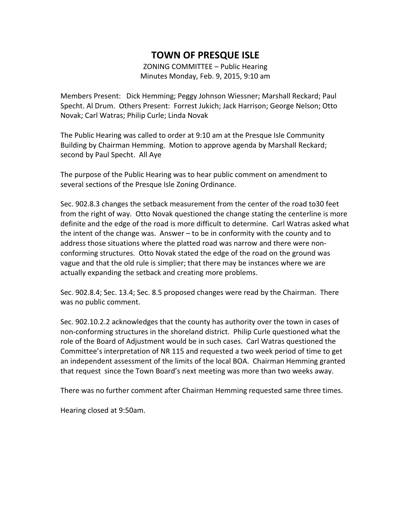ZONING COMMITTEE – Public Hearing Minutes Monday, Feb. 9, 2015, 9:10 am

Members Present: Dick Hemming; Peggy Johnson Wiessner; Marshall Reckard; Paul Specht. Al Drum. Others Present: Forrest Jukich; Jack Harrison; George Nelson; Otto Novak; Carl Watras; Philip Curle; Linda Novak

The Public Hearing was called to order at 9:10 am at the Presque Isle Community Building by Chairman Hemming. Motion to approve agenda by Marshall Reckard; second by Paul Specht. All Aye

The purpose of the Public Hearing was to hear public comment on amendment to several sections of the Presque Isle Zoning Ordinance.

Sec. 902.8.3 changes the setback measurement from the center of the road to30 feet from the right of way. Otto Novak questioned the change stating the centerline is more definite and the edge of the road is more difficult to determine. Carl Watras asked what the intent of the change was. Answer – to be in conformity with the county and to address those situations where the platted road was narrow and there were nonconforming structures. Otto Novak stated the edge of the road on the ground was vague and that the old rule is simplier; that there may be instances where we are actually expanding the setback and creating more problems.

Sec. 902.8.4; Sec. 13.4; Sec. 8.5 proposed changes were read by the Chairman. There was no public comment.

Sec. 902.10.2.2 acknowledges that the county has authority over the town in cases of non-conforming structures in the shoreland district. Philip Curle questioned what the role of the Board of Adjustment would be in such cases. Carl Watras questioned the Committee's interpretation of NR 115 and requested a two week period of time to get an independent assessment of the limits of the local BOA. Chairman Hemming granted that request since the Town Board's next meeting was more than two weeks away.

There was no further comment after Chairman Hemming requested same three times.

Hearing closed at 9:50am.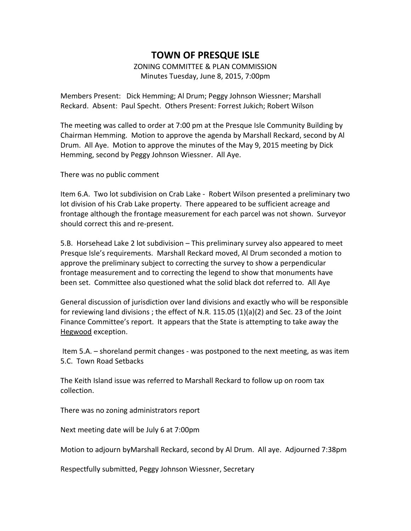#### **TOWN OF PRESQUE ISLE** ZONING COMMITTEE & PLAN COMMISSION Minutes Tuesday, June 8, 2015, 7:00pm

Members Present: Dick Hemming; Al Drum; Peggy Johnson Wiessner; Marshall Reckard. Absent: Paul Specht. Others Present: Forrest Jukich; Robert Wilson

The meeting was called to order at 7:00 pm at the Presque Isle Community Building by Chairman Hemming. Motion to approve the agenda by Marshall Reckard, second by Al Drum. All Aye. Motion to approve the minutes of the May 9, 2015 meeting by Dick Hemming, second by Peggy Johnson Wiessner. All Aye.

There was no public comment

Item 6.A. Two lot subdivision on Crab Lake - Robert Wilson presented a preliminary two lot division of his Crab Lake property. There appeared to be sufficient acreage and frontage although the frontage measurement for each parcel was not shown. Surveyor should correct this and re-present.

5.B. Horsehead Lake 2 lot subdivision – This preliminary survey also appeared to meet Presque Isle's requirements. Marshall Reckard moved, Al Drum seconded a motion to approve the preliminary subject to correcting the survey to show a perpendicular frontage measurement and to correcting the legend to show that monuments have been set. Committee also questioned what the solid black dot referred to. All Aye

General discussion of jurisdiction over land divisions and exactly who will be responsible for reviewing land divisions ; the effect of N.R. 115.05 (1)(a)(2) and Sec. 23 of the Joint Finance Committee's report. It appears that the State is attempting to take away the Hegwood exception.

Item 5.A. – shoreland permit changes - was postponed to the next meeting, as was item 5.C. Town Road Setbacks

The Keith Island issue was referred to Marshall Reckard to follow up on room tax collection.

There was no zoning administrators report

Next meeting date will be July 6 at 7:00pm

Motion to adjourn byMarshall Reckard, second by Al Drum. All aye. Adjourned 7:38pm

Respectfully submitted, Peggy Johnson Wiessner, Secretary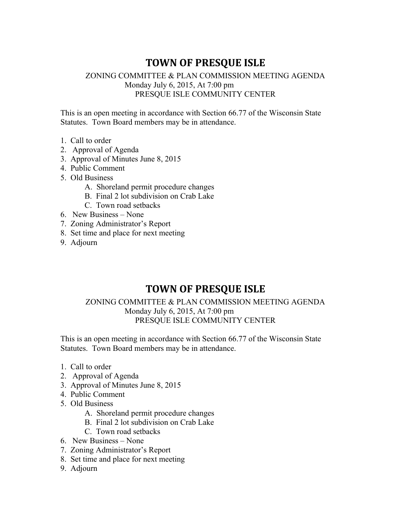#### ZONING COMMITTEE & PLAN COMMISSION MEETING AGENDA Monday July 6, 2015, At 7:00 pm PRESQUE ISLE COMMUNITY CENTER

This is an open meeting in accordance with Section 66.77 of the Wisconsin State Statutes. Town Board members may be in attendance.

- 1. Call to order
- 2. Approval of Agenda
- 3. Approval of Minutes June 8, 2015
- 4. Public Comment
- 5. Old Business
	- A. Shoreland permit procedure changes
	- B. Final 2 lot subdivision on Crab Lake
	- C. Town road setbacks
- 6. New Business None
- 7. Zoning Administrator's Report
- 8. Set time and place for next meeting
- 9. Adjourn

## **TOWN OF PRESQUE ISLE**

#### ZONING COMMITTEE & PLAN COMMISSION MEETING AGENDA Monday July 6, 2015, At 7:00 pm PRESQUE ISLE COMMUNITY CENTER

This is an open meeting in accordance with Section 66.77 of the Wisconsin State Statutes. Town Board members may be in attendance.

- 1. Call to order
- 2. Approval of Agenda
- 3. Approval of Minutes June 8, 2015
- 4. Public Comment
- 5. Old Business
	- A. Shoreland permit procedure changes
	- B. Final 2 lot subdivision on Crab Lake
	- C. Town road setbacks
- 6. New Business None
- 7. Zoning Administrator's Report
- 8. Set time and place for next meeting
- 9. Adjourn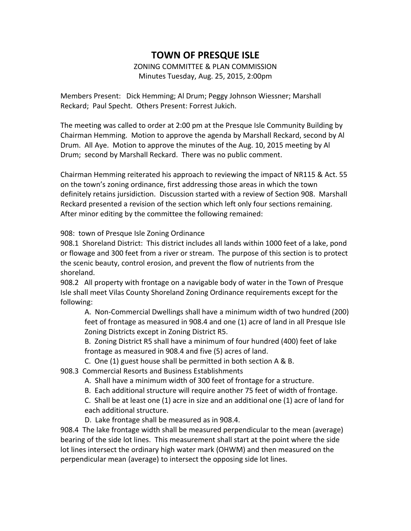#### ZONING COMMITTEE & PLAN COMMISSION Minutes Tuesday, Aug. 25, 2015, 2:00pm

Members Present: Dick Hemming; Al Drum; Peggy Johnson Wiessner; Marshall Reckard; Paul Specht. Others Present: Forrest Jukich.

The meeting was called to order at 2:00 pm at the Presque Isle Community Building by Chairman Hemming. Motion to approve the agenda by Marshall Reckard, second by Al Drum. All Aye. Motion to approve the minutes of the Aug. 10, 2015 meeting by Al Drum; second by Marshall Reckard. There was no public comment.

Chairman Hemming reiterated his approach to reviewing the impact of NR115 & Act. 55 on the town's zoning ordinance, first addressing those areas in which the town definitely retains jursidiction. Discussion started with a review of Section 908. Marshall Reckard presented a revision of the section which left only four sections remaining. After minor editing by the committee the following remained:

908: town of Presque Isle Zoning Ordinance

908.1 Shoreland District: This district includes all lands within 1000 feet of a lake, pond or flowage and 300 feet from a river or stream. The purpose of this section is to protect the scenic beauty, control erosion, and prevent the flow of nutrients from the shoreland.

908.2 All property with frontage on a navigable body of water in the Town of Presque Isle shall meet Vilas County Shoreland Zoning Ordinance requirements except for the following:

A. Non-Commercial Dwellings shall have a minimum width of two hundred (200) feet of frontage as measured in 908.4 and one (1) acre of land in all Presque Isle Zoning Districts except in Zoning District R5.

B. Zoning District R5 shall have a minimum of four hundred (400) feet of lake frontage as measured in 908.4 and five (5) acres of land.

C. One (1) guest house shall be permitted in both section A & B.

908.3 Commercial Resorts and Business Establishments

- A. Shall have a minimum width of 300 feet of frontage for a structure.
- B. Each additional structure will require another 75 feet of width of frontage.

C. Shall be at least one (1) acre in size and an additional one (1) acre of land for each additional structure.

D. Lake frontage shall be measured as in 908.4.

908.4 The lake frontage width shall be measured perpendicular to the mean (average) bearing of the side lot lines. This measurement shall start at the point where the side lot lines intersect the ordinary high water mark (OHWM) and then measured on the perpendicular mean (average) to intersect the opposing side lot lines.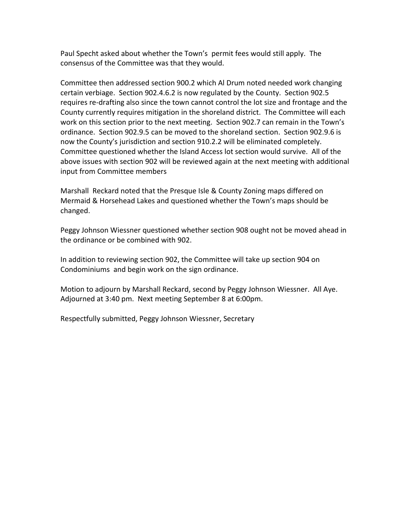Paul Specht asked about whether the Town's permit fees would still apply. The consensus of the Committee was that they would.

Committee then addressed section 900.2 which Al Drum noted needed work changing certain verbiage. Section 902.4.6.2 is now regulated by the County. Section 902.5 requires re-drafting also since the town cannot control the lot size and frontage and the County currently requires mitigation in the shoreland district. The Committee will each work on this section prior to the next meeting. Section 902.7 can remain in the Town's ordinance. Section 902.9.5 can be moved to the shoreland section. Section 902.9.6 is now the County's jurisdiction and section 910.2.2 will be eliminated completely. Committee questioned whether the Island Access lot section would survive. All of the above issues with section 902 will be reviewed again at the next meeting with additional input from Committee members

Marshall Reckard noted that the Presque Isle & County Zoning maps differed on Mermaid & Horsehead Lakes and questioned whether the Town's maps should be changed.

Peggy Johnson Wiessner questioned whether section 908 ought not be moved ahead in the ordinance or be combined with 902.

In addition to reviewing section 902, the Committee will take up section 904 on Condominiums and begin work on the sign ordinance.

Motion to adjourn by Marshall Reckard, second by Peggy Johnson Wiessner. All Aye. Adjourned at 3:40 pm. Next meeting September 8 at 6:00pm.

Respectfully submitted, Peggy Johnson Wiessner, Secretary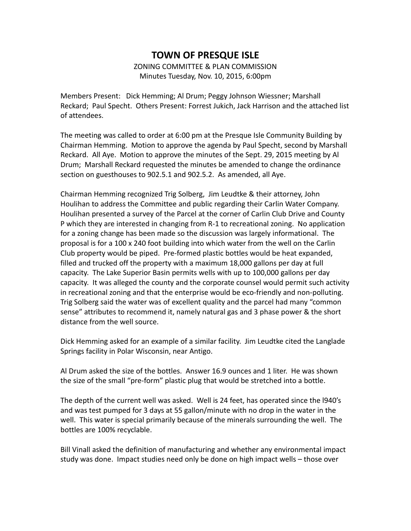ZONING COMMITTEE & PLAN COMMISSION Minutes Tuesday, Nov. 10, 2015, 6:00pm

Members Present: Dick Hemming; Al Drum; Peggy Johnson Wiessner; Marshall Reckard; Paul Specht. Others Present: Forrest Jukich, Jack Harrison and the attached list of attendees.

The meeting was called to order at 6:00 pm at the Presque Isle Community Building by Chairman Hemming. Motion to approve the agenda by Paul Specht, second by Marshall Reckard. All Aye. Motion to approve the minutes of the Sept. 29, 2015 meeting by Al Drum; Marshall Reckard requested the minutes be amended to change the ordinance section on guesthouses to 902.5.1 and 902.5.2. As amended, all Aye.

Chairman Hemming recognized Trig Solberg, Jim Leudtke & their attorney, John Houlihan to address the Committee and public regarding their Carlin Water Company. Houlihan presented a survey of the Parcel at the corner of Carlin Club Drive and County P which they are interested in changing from R-1 to recreational zoning. No application for a zoning change has been made so the discussion was largely informational. The proposal is for a 100 x 240 foot building into which water from the well on the Carlin Club property would be piped. Pre-formed plastic bottles would be heat expanded, filled and trucked off the property with a maximum 18,000 gallons per day at full capacity. The Lake Superior Basin permits wells with up to 100,000 gallons per day capacity. It was alleged the county and the corporate counsel would permit such activity in recreational zoning and that the enterprise would be eco-friendly and non-polluting. Trig Solberg said the water was of excellent quality and the parcel had many "common sense" attributes to recommend it, namely natural gas and 3 phase power & the short distance from the well source.

Dick Hemming asked for an example of a similar facility. Jim Leudtke cited the Langlade Springs facility in Polar Wisconsin, near Antigo.

Al Drum asked the size of the bottles. Answer 16.9 ounces and 1 liter. He was shown the size of the small "pre-form" plastic plug that would be stretched into a bottle.

The depth of the current well was asked. Well is 24 feet, has operated since the l940's and was test pumped for 3 days at 55 gallon/minute with no drop in the water in the well. This water is special primarily because of the minerals surrounding the well. The bottles are 100% recyclable.

Bill Vinall asked the definition of manufacturing and whether any environmental impact study was done. Impact studies need only be done on high impact wells – those over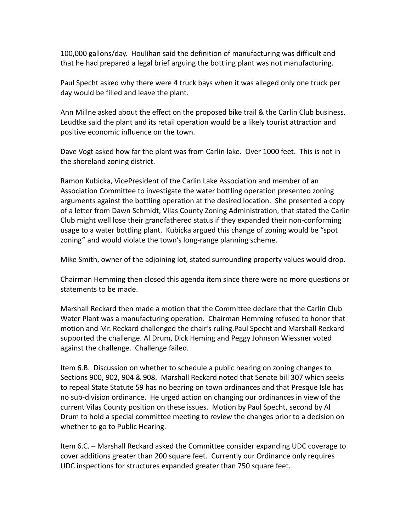100,000 gallons/day. Houlihan said the definition of manufacturing was difficult and that he had prepared a legal brief arguing the bottling plant was not manufacturing.

Paul Specht asked why there were 4 truck bays when it was alleged only one truck per day would be filled and leave the plant.

Ann Millne asked about the effect on the proposed bike trail & the Carlin Club business. Leudtke said the plant and its retail operation would be a likely tourist attraction and positive economic influence on the town.

Dave Vogt asked how far the plant was from Carlin lake. Over 1000 feet. This is not in the shoreland zoning district.

Ramon Kubicka, VicePresident of the Carlin Lake Association and member of an Association Committee to investigate the water bottling operation presented zoning arguments against the bottling operation at the desired location. She presented a copy of a letter from Dawn Schmidt, Vilas County Zoning Administration, that stated the Carlin Club might well lose their grandfathered status if they expanded their non-conforming usage to a water bottling plant. Kubicka argued this change of zoning would be "spot zoning" and would violate the town's long-range planning scheme.

Mike Smith, owner of the adjoining lot, stated surrounding property values would drop.

Chairman Hemming then closed this agenda item since there were no more questions or statements to be made.

Marshall Reckard then made a motion that the Committee declare that the Carlin Club Water Plant was a manufacturing operation. Chairman Hemming refused to honor that motion and Mr. Reckard challenged the chair's ruling.Paul Specht and Marshall Reckard supported the challenge. Al Drum, Dick Heming and Peggy Johnson Wiessner voted against the challenge. Challenge failed.

Item 6.B. Discussion on whether to schedule a public hearing on zoning changes to Sections 900, 902, 904 & 908. Marshall Reckard noted that Senate bill 307 which seeks to repeal State Statute 59 has no bearing on town ordinances and that Presque Isle has no sub-division ordinance. He urged action on changing our ordinances in view of the current Vilas County position on these issues. Motion by Paul Specht, second by Al Drum to hold a special committee meeting to review the changes prior to a decision on whether to go to Public Hearing.

Item 6.C. – Marshall Reckard asked the Committee consider expanding UDC coverage to cover additions greater than 200 square feet. Currently our Ordinance only requires UDC inspections for structures expanded greater than 750 square feet.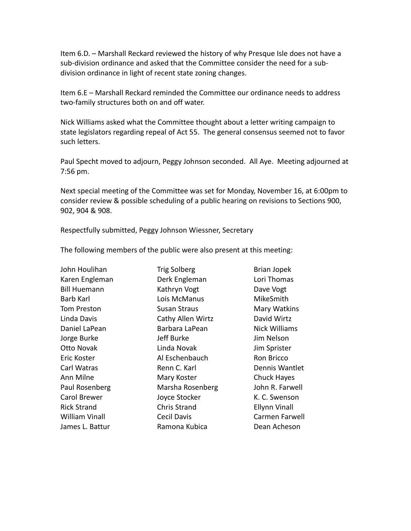Item 6.D. – Marshall Reckard reviewed the history of why Presque Isle does not have a sub-division ordinance and asked that the Committee consider the need for a subdivision ordinance in light of recent state zoning changes.

Item 6.E – Marshall Reckard reminded the Committee our ordinance needs to address two-family structures both on and off water.

Nick Williams asked what the Committee thought about a letter writing campaign to state legislators regarding repeal of Act 55. The general consensus seemed not to favor such letters.

Paul Specht moved to adjourn, Peggy Johnson seconded. All Aye. Meeting adjourned at 7:56 pm.

Next special meeting of the Committee was set for Monday, November 16, at 6:00pm to consider review & possible scheduling of a public hearing on revisions to Sections 900, 902, 904 & 908.

Respectfully submitted, Peggy Johnson Wiessner, Secretary

The following members of the public were also present at this meeting:

John Houlihan Trig Solberg Trig Solberg Brian Jopek Karen Engleman **Derk Engleman** Lori Thomas Bill Huemann Kathryn Vogt Dave Vogt Barb Karl **National Lois McManus** MikeSmith Tom Preston **Susan Straus** Mary Watkins Linda Davis Cathy Allen Wirtz David Wirtz Daniel LaPean **Barbara LaPean** Nick Williams Jorge Burke Jeff Burke Jim Nelson Otto Novak **Linda Novak** Jim Sprister Eric Koster **Al Eschenbauch** Ron Bricco Carl Watras **Renn C. Karl Communis Wantlet** Ann Milne **Mary Koster** Chuck Hayes Paul Rosenberg Marsha Rosenberg John R. Farwell Carol Brewer **Carol Brewer** Joyce Stocker **K. C. Swenson** Rick Strand Chris Strand Ellynn Vinall William Vinall **Cecil Davis** Carmen Farwell James L. Battur Ramona Kubica Dean Acheson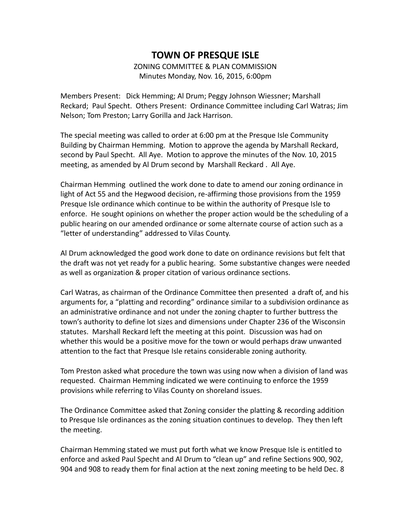# **TOWN OF PRESQUE ISLE** ZONING COMMITTEE & PLAN COMMISSION

Minutes Monday, Nov. 16, 2015, 6:00pm

Members Present: Dick Hemming; Al Drum; Peggy Johnson Wiessner; Marshall Reckard; Paul Specht. Others Present: Ordinance Committee including Carl Watras; Jim Nelson; Tom Preston; Larry Gorilla and Jack Harrison.

The special meeting was called to order at 6:00 pm at the Presque Isle Community Building by Chairman Hemming. Motion to approve the agenda by Marshall Reckard, second by Paul Specht. All Aye. Motion to approve the minutes of the Nov. 10, 2015 meeting, as amended by Al Drum second by Marshall Reckard . All Aye.

Chairman Hemming outlined the work done to date to amend our zoning ordinance in light of Act 55 and the Hegwood decision, re-affirming those provisions from the 1959 Presque Isle ordinance which continue to be within the authority of Presque Isle to enforce. He sought opinions on whether the proper action would be the scheduling of a public hearing on our amended ordinance or some alternate course of action such as a "letter of understanding" addressed to Vilas County.

Al Drum acknowledged the good work done to date on ordinance revisions but felt that the draft was not yet ready for a public hearing. Some substantive changes were needed as well as organization & proper citation of various ordinance sections.

Carl Watras, as chairman of the Ordinance Committee then presented a draft of, and his arguments for, a "platting and recording" ordinance similar to a subdivision ordinance as an administrative ordinance and not under the zoning chapter to further buttress the town's authority to define lot sizes and dimensions under Chapter 236 of the Wisconsin statutes. Marshall Reckard left the meeting at this point. Discussion was had on whether this would be a positive move for the town or would perhaps draw unwanted attention to the fact that Presque Isle retains considerable zoning authority.

Tom Preston asked what procedure the town was using now when a division of land was requested. Chairman Hemming indicated we were continuing to enforce the 1959 provisions while referring to Vilas County on shoreland issues.

The Ordinance Committee asked that Zoning consider the platting & recording addition to Presque Isle ordinances as the zoning situation continues to develop. They then left the meeting.

Chairman Hemming stated we must put forth what we know Presque Isle is entitled to enforce and asked Paul Specht and Al Drum to "clean up" and refine Sections 900, 902, 904 and 908 to ready them for final action at the next zoning meeting to be held Dec. 8